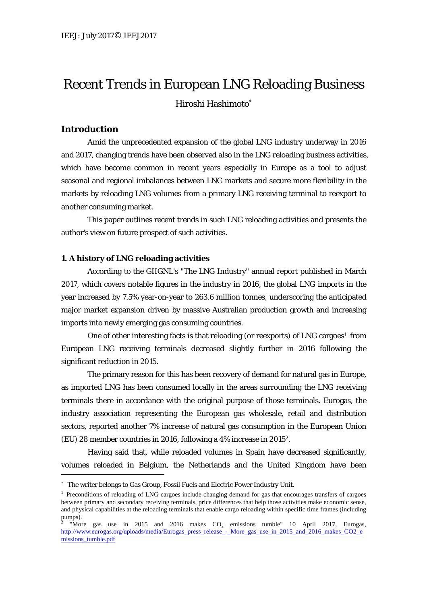# Recent Trends in European LNG Reloading Business

Hiroshi Hashimoto

# **Introduction**

 $\overline{a}$ 

Amid the unprecedented expansion of the global LNG industry underway in 2016 and 2017, changing trends have been observed also in the LNG reloading business activities, which have become common in recent years especially in Europe as a tool to adjust seasonal and regional imbalances between LNG markets and secure more flexibility in the markets by reloading LNG volumes from a primary LNG receiving terminal to reexport to another consuming market.

This paper outlines recent trends in such LNG reloading activities and presents the author's view on future prospect of such activities.

### **1. A history of LNG reloading activities**

According to the GIIGNL's "The LNG Industry" annual report published in March 2017, which covers notable figures in the industry in 2016, the global LNG imports in the year increased by 7.5% year-on-year to 263.6 million tonnes, underscoring the anticipated major market expansion driven by massive Australian production growth and increasing imports into newly emerging gas consuming countries.

One of other interesting facts is that reloading (or reexports) of LNG cargoes<sup>1</sup> from European LNG receiving terminals decreased slightly further in 2016 following the significant reduction in 2015.

The primary reason for this has been recovery of demand for natural gas in Europe, as imported LNG has been consumed locally in the areas surrounding the LNG receiving terminals there in accordance with the original purpose of those terminals. Eurogas, the industry association representing the European gas wholesale, retail and distribution sectors, reported another 7% increase of natural gas consumption in the European Union (EU) 28 member countries in 2016, following a 4% increase in 20152.

Having said that, while reloaded volumes in Spain have decreased significantly, volumes reloaded in Belgium, the Netherlands and the United Kingdom have been

 The writer belongs to Gas Group, Fossil Fuels and Electric Power Industry Unit.

<sup>&</sup>lt;sup>1</sup> Preconditions of reloading of LNG cargoes include changing demand for gas that encourages transfers of cargoes between primary and secondary receiving terminals, price differences that help those activities make economic sense, and physical capabilities at the reloading terminals that enable cargo reloading within specific time frames (including pumps).

<sup>&</sup>quot;More gas use in 2015 and 2016 makes  $CO<sub>2</sub>$  emissions tumble" 10 April 2017, Eurogas, http://www.eurogas.org/uploads/media/Eurogas\_press\_release\_-\_More\_gas\_use\_in\_2015\_and\_2016\_makes\_CO2\_e missions\_tumble.pdf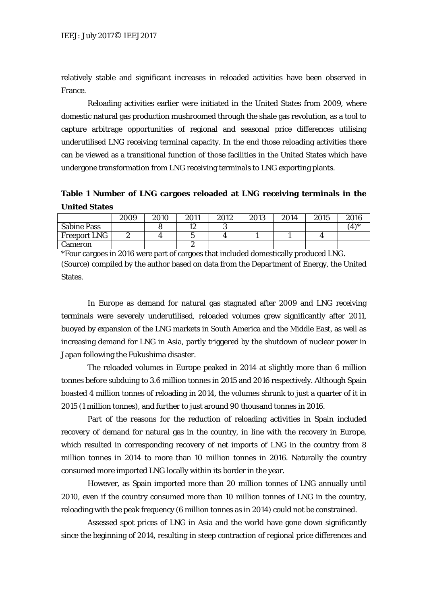relatively stable and significant increases in reloaded activities have been observed in France.

Reloading activities earlier were initiated in the United States from 2009, where domestic natural gas production mushroomed through the shale gas revolution, as a tool to capture arbitrage opportunities of regional and seasonal price differences utilising underutilised LNG receiving terminal capacity. In the end those reloading activities there can be viewed as a transitional function of those facilities in the United States which have undergone transformation from LNG receiving terminals to LNG exporting plants.

**Table 1 Number of LNG cargoes reloaded at LNG receiving terminals in the United States** 

|                     | 2009 | 2010 | 2011 | 2012 | 2013 | 2014 | 2015 | 2016 |
|---------------------|------|------|------|------|------|------|------|------|
| <b>Sabine Pass</b>  |      |      | 19   |      |      |      |      | 4    |
| <b>Freeport LNG</b> | ∼    |      |      |      |      |      |      |      |
| Cameron             |      |      | ∼    |      |      |      |      |      |

\*Four cargoes in 2016 were part of cargoes that included domestically produced LNG. (Source) compiled by the author based on data from the Department of Energy, the United States.

In Europe as demand for natural gas stagnated after 2009 and LNG receiving terminals were severely underutilised, reloaded volumes grew significantly after 2011, buoyed by expansion of the LNG markets in South America and the Middle East, as well as increasing demand for LNG in Asia, partly triggered by the shutdown of nuclear power in Japan following the Fukushima disaster.

The reloaded volumes in Europe peaked in 2014 at slightly more than 6 million tonnes before subduing to 3.6 million tonnes in 2015 and 2016 respectively. Although Spain boasted 4 million tonnes of reloading in 2014, the volumes shrunk to just a quarter of it in 2015 (1 million tonnes), and further to just around 90 thousand tonnes in 2016.

Part of the reasons for the reduction of reloading activities in Spain included recovery of demand for natural gas in the country, in line with the recovery in Europe, which resulted in corresponding recovery of net imports of LNG in the country from 8 million tonnes in 2014 to more than 10 million tonnes in 2016. Naturally the country consumed more imported LNG locally within its border in the year.

However, as Spain imported more than 20 million tonnes of LNG annually until 2010, even if the country consumed more than 10 million tonnes of LNG in the country, reloading with the peak frequency (6 million tonnes as in 2014) could not be constrained.

Assessed spot prices of LNG in Asia and the world have gone down significantly since the beginning of 2014, resulting in steep contraction of regional price differences and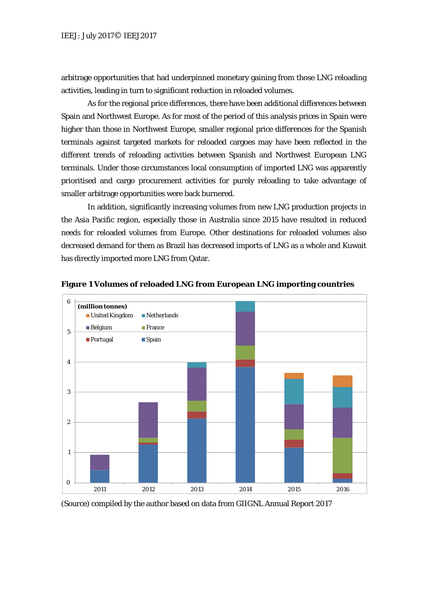arbitrage opportunities that had underpinned monetary gaining from those LNG reloading activities, leading in turn to significant reduction in reloaded volumes.

As for the regional price differences, there have been additional differences between Spain and Northwest Europe. As for most of the period of this analysis prices in Spain were higher than those in Northwest Europe, smaller regional price differences for the Spanish terminals against targeted markets for reloaded cargoes may have been reflected in the different trends of reloading activities between Spanish and Northwest European LNG terminals. Under those circumstances local consumption of imported LNG was apparently prioritised and cargo procurement activities for purely reloading to take advantage of smaller arbitrage opportunities were back burnered.

In addition, significantly increasing volumes from new LNG production projects in the Asia Pacific region, especially those in Australia since 2015 have resulted in reduced needs for reloaded volumes from Europe. Other destinations for reloaded volumes also decreased demand for them as Brazil has decreased imports of LNG as a whole and Kuwait has directly imported more LNG from Qatar.



**Figure 1 Volumes of reloaded LNG from European LNG importing countries** 

(Source) compiled by the author based on data from GIIGNL Annual Report 2017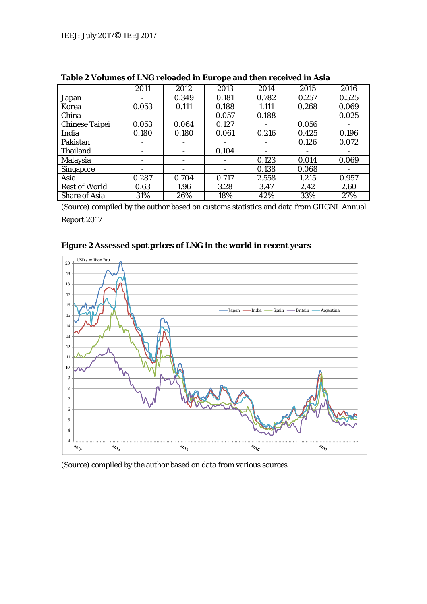|                       | 2011            | 2012  | 2013  | 2014  | 2015  | 2016  |
|-----------------------|-----------------|-------|-------|-------|-------|-------|
| Japan                 | -               | 0.349 | 0.181 | 0.782 | 0.257 | 0.525 |
| Korea                 | 0.053           | 0.111 | 0.188 | 1.111 | 0.268 | 0.069 |
| China                 |                 |       | 0.057 | 0.188 |       | 0.025 |
| <b>Chinese Taipei</b> | 0.053           | 0.064 | 0.127 |       | 0.056 |       |
| India                 | 0.180           | 0.180 | 0.061 | 0.216 | 0.425 | 0.196 |
| Pakistan              | $\qquad \qquad$ | -     |       |       | 0.126 | 0.072 |
| Thailand              | -               | -     | 0.104 | -     |       |       |
| Malaysia              | $\qquad \qquad$ | -     |       | 0.123 | 0.014 | 0.069 |
| <b>Singapore</b>      | -               | -     |       | 0.138 | 0.068 |       |
| Asia                  | 0.287           | 0.704 | 0.717 | 2.558 | 1.215 | 0.957 |
| <b>Rest of World</b>  | 0.63            | 1.96  | 3.28  | 3.47  | 2.42  | 2.60  |
| <b>Share of Asia</b>  | 31%             | 26%   | 18%   | 42%   | 33%   | 27%   |

**Table 2 Volumes of LNG reloaded in Europe and then received in Asia** 

(Source) compiled by the author based on customs statistics and data from GIIGNL Annual

Report 2017



**Figure 2 Assessed spot prices of LNG in the world in recent years** 

(Source) compiled by the author based on data from various sources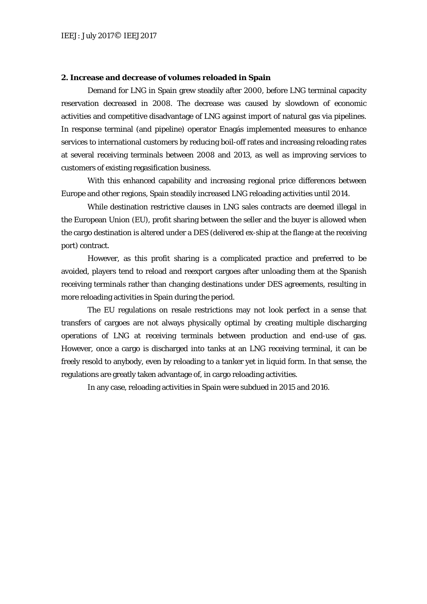#### **2. Increase and decrease of volumes reloaded in Spain**

Demand for LNG in Spain grew steadily after 2000, before LNG terminal capacity reservation decreased in 2008. The decrease was caused by slowdown of economic activities and competitive disadvantage of LNG against import of natural gas via pipelines. In response terminal (and pipeline) operator Enagás implemented measures to enhance services to international customers by reducing boil-off rates and increasing reloading rates at several receiving terminals between 2008 and 2013, as well as improving services to customers of existing regasification business.

With this enhanced capability and increasing regional price differences between Europe and other regions, Spain steadily increased LNG reloading activities until 2014.

While destination restrictive clauses in LNG sales contracts are deemed illegal in the European Union (EU), profit sharing between the seller and the buyer is allowed when the cargo destination is altered under a DES (delivered ex-ship at the flange at the receiving port) contract.

However, as this profit sharing is a complicated practice and preferred to be avoided, players tend to reload and reexport cargoes after unloading them at the Spanish receiving terminals rather than changing destinations under DES agreements, resulting in more reloading activities in Spain during the period.

The EU regulations on resale restrictions may not look perfect in a sense that transfers of cargoes are not always physically optimal by creating multiple discharging operations of LNG at receiving terminals between production and end-use of gas. However, once a cargo is discharged into tanks at an LNG receiving terminal, it can be freely resold to anybody, even by reloading to a tanker yet in liquid form. In that sense, the regulations are greatly taken advantage of, in cargo reloading activities.

In any case, reloading activities in Spain were subdued in 2015 and 2016.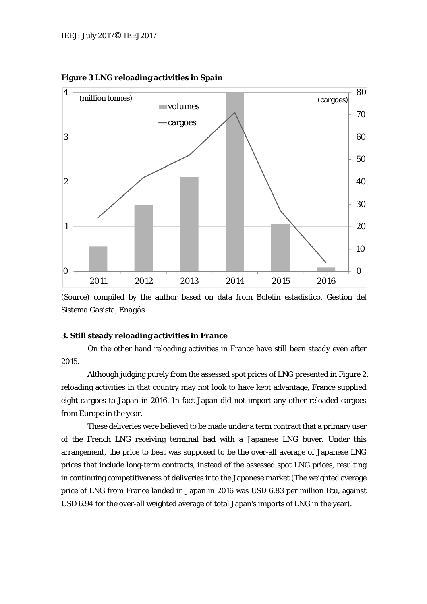

**Figure 3 LNG reloading activities in Spain** 

(Source) compiled by the author based on data from *Boletín estadístico, Gestión del Sistema Gasista, Enagás*

## **3. Still steady reloading activities in France**

On the other hand reloading activities in France have still been steady even after 2015.

Although judging purely from the assessed spot prices of LNG presented in Figure 2, reloading activities in that country may not look to have kept advantage, France supplied eight cargoes to Japan in 2016. In fact Japan did not import any other reloaded cargoes from Europe in the year.

These deliveries were believed to be made under a term contract that a primary user of the French LNG receiving terminal had with a Japanese LNG buyer. Under this arrangement, the price to beat was supposed to be the over-all average of Japanese LNG prices that include long-term contracts, instead of the assessed spot LNG prices, resulting in continuing competitiveness of deliveries into the Japanese market (The weighted average price of LNG from France landed in Japan in 2016 was USD 6.83 per million Btu, against USD 6.94 for the over-all weighted average of total Japan's imports of LNG in the year).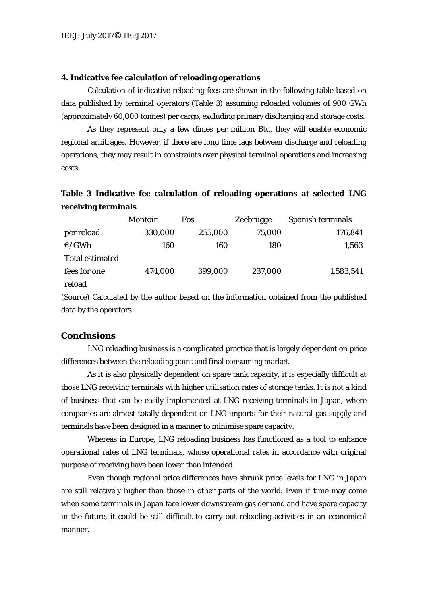#### **4. Indicative fee calculation of reloading operations**

Calculation of indicative reloading fees are shown in the following table based on data published by terminal operators (Table 3) assuming reloaded volumes of 900 GWh (approximately 60,000 tonnes) per cargo, excluding primary discharging and storage costs.

As they represent only a few dimes per million Btu, they will enable economic regional arbitrages. However, if there are long time lags between discharge and reloading operations, they may result in constraints over physical terminal operations and increasing costs.

# **Table 3 Indicative fee calculation of reloading operations at selected LNG receiving terminals**

|                        | <b>Montoir</b> | <b>Fos</b> | Zeebrugge | Spanish terminals |
|------------------------|----------------|------------|-----------|-------------------|
| per reload             | 330,000        | 255,000    | 75,000    | 176,841           |
| $\epsilon$ /GWh        | 160            | 160        | 180       | 1,563             |
| <b>Total estimated</b> |                |            |           |                   |
| fees for one           | 474,000        | 399,000    | 237,000   | 1,583,541         |
| reload                 |                |            |           |                   |

(Source) Calculated by the author based on the information obtained from the published data by the operators

#### **Conclusions**

LNG reloading business is a complicated practice that is largely dependent on price differences between the reloading point and final consuming market.

As it is also physically dependent on spare tank capacity, it is especially difficult at those LNG receiving terminals with higher utilisation rates of storage tanks. It is not a kind of business that can be easily implemented at LNG receiving terminals in Japan, where companies are almost totally dependent on LNG imports for their natural gas supply and terminals have been designed in a manner to minimise spare capacity.

Whereas in Europe, LNG reloading business has functioned as a tool to enhance operational rates of LNG terminals, whose operational rates in accordance with original purpose of receiving have been lower than intended.

Even though regional price differences have shrunk price levels for LNG in Japan are still relatively higher than those in other parts of the world. Even if time may come when some terminals in Japan face lower downstream gas demand and have spare capacity in the future, it could be still difficult to carry out reloading activities in an economical manner.